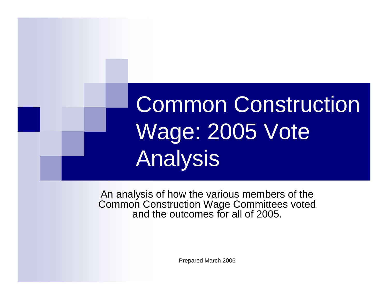# Common Construction Wage: 2005 Vote Analysis

An analysis of how the various members of the Common Construction Wage Committees voted and the outcomes for all of 2005.

Prepared March 2006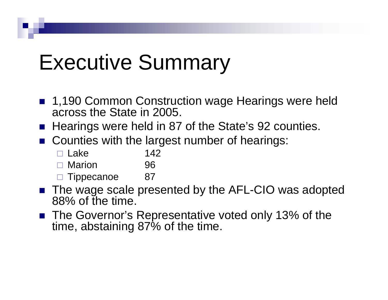# Executive Summary

- 1,190 Common Construction wage Hearings were held across the State in 2005.
- Hearings were held in 87 of the State's 92 counties.
- Counties with the largest number of hearings:
	- $\Box$  Lake  $142$
	- □ Marion 96
	- $\square$  Tippecanoe 87
- The wage scale presented by the AFL-CIO was adopted 88% of the time.
- The Governor's Representative voted only 13% of the time, abstaining 87% of the time.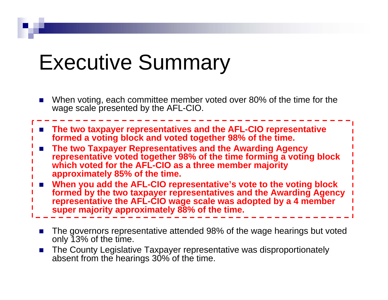# Executive Summary

- × When voting, each committee member voted over 80% of the time for the wage scale presented by the AFL-CIO.
- **The two taxpayer representatives and the AFL-CIO representative formed a voting block and voted together 98% of the time.**
- × **The two Taxpayer Representatives and the Awarding Agency representative voted together 98% of the time forming a voting block which voted for the AFL-CIO as a three member majority approximately 85% of the time.**
- m. **When you add the AFL-CIO representative's vote to the voting block formed by the two taxpayer representatives and the Awarding Agency representative the AFL-CIO wage scale was adopted by a 4 member super majority approximately 88% of the time.**
	- × The governors representative attended 98% of the wage hearings but voted only 13% of the time.
	- $\mathcal{L}$  The County Legislative Taxpayer representative was disproportionately absent from the hearings 30% of the time.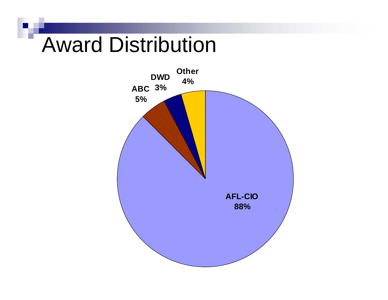# Award Distribution

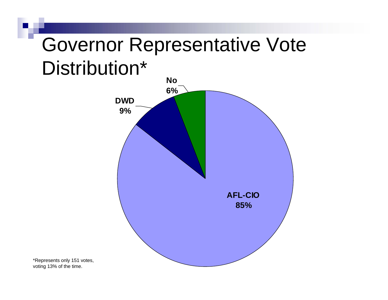#### Governor Representative Vote Distribution\*



\*Represents only 151 votes, voting 13% of the time.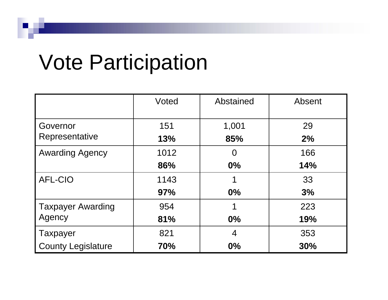# Vote Participation

|                           | Voted | Abstained | Absent     |
|---------------------------|-------|-----------|------------|
| Governor                  | 151   | 1,001     | 29         |
| Representative            | 13%   | 85%       | 2%         |
| <b>Awarding Agency</b>    | 1012  | $\Omega$  | 166        |
|                           | 86%   | $0\%$     | 14%        |
| <b>AFL-CIO</b>            | 1143  |           | 33         |
|                           | 97%   | $0\%$     | 3%         |
| <b>Taxpayer Awarding</b>  | 954   |           | 223        |
| Agency                    | 81%   | $0\%$     | 19%        |
| <b>Taxpayer</b>           | 821   | 4         | 353        |
| <b>County Legislature</b> | 70%   | $0\%$     | <b>30%</b> |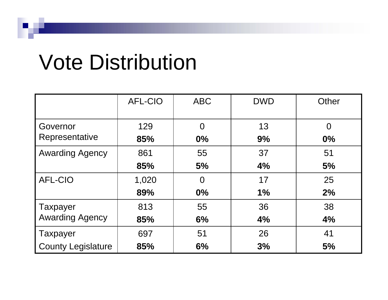# Vote Distribution

|                                           | <b>AFL-CIO</b> | <b>ABC</b>     | <b>DWD</b> | Other    |
|-------------------------------------------|----------------|----------------|------------|----------|
|                                           |                |                |            |          |
| Governor                                  | 129            | $\overline{0}$ | 13         | $\Omega$ |
| Representative                            | 85%            | 0%             | 9%         | $0\%$    |
| <b>Awarding Agency</b>                    | 861            | 55             | 37         | 51       |
|                                           | 85%            | 5%             | 4%         | 5%       |
| <b>AFL-CIO</b>                            | 1,020          | $\overline{0}$ | 17         | 25       |
|                                           | 89%            | 0%             | 1%         | 2%       |
| <b>Taxpayer</b><br><b>Awarding Agency</b> | 813            | 55             | 36         | 38       |
|                                           | 85%            | 6%             | 4%         | 4%       |
| <b>Taxpayer</b>                           | 697            | 51             | 26         | 41       |
| <b>County Legislature</b>                 | 85%            | 6%             | 3%         | 5%       |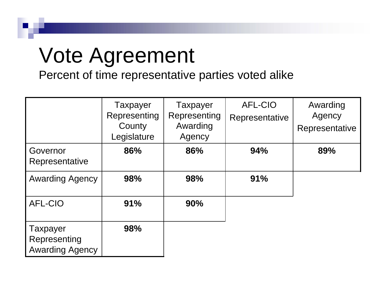# Vote Agreement

Percent of time representative parties voted alike

|                                                    | <b>Taxpayer</b><br>Representing<br>County<br>Legislature | <b>Taxpayer</b><br>Representing<br>Awarding<br>Agency | <b>AFL-CIO</b><br>Representative | Awarding<br>Agency<br>Representative |
|----------------------------------------------------|----------------------------------------------------------|-------------------------------------------------------|----------------------------------|--------------------------------------|
| Governor<br>Representative                         | 86%                                                      | 86%                                                   | 94%                              | 89%                                  |
| <b>Awarding Agency</b>                             | 98%                                                      | 98%                                                   | 91%                              |                                      |
| <b>AFL-CIO</b>                                     | 91%                                                      | <b>90%</b>                                            |                                  |                                      |
| Taxpayer<br>Representing<br><b>Awarding Agency</b> | 98%                                                      |                                                       |                                  |                                      |